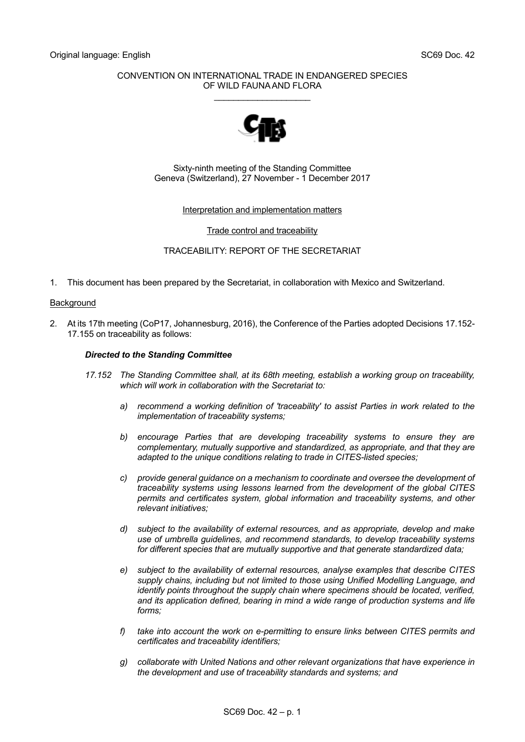## CONVENTION ON INTERNATIONAL TRADE IN ENDANGERED SPECIES OF WILD FAUNA AND FLORA

\_\_\_\_\_\_\_\_\_\_\_\_\_\_\_\_\_\_\_\_



Sixty-ninth meeting of the Standing Committee Geneva (Switzerland), 27 November - 1 December 2017

### Interpretation and implementation matters

## Trade control and traceability

# TRACEABILITY: REPORT OF THE SECRETARIAT

1. This document has been prepared by the Secretariat, in collaboration with Mexico and Switzerland.

### Background

2. At its 17th meeting (CoP17, Johannesburg, 2016), the Conference of the Parties adopted Decisions 17.152- 17.155 on traceability as follows:

### *Directed to the Standing Committee*

- *17.152 The Standing Committee shall, at its 68th meeting, establish a working group on traceability, which will work in collaboration with the Secretariat to:*
	- *a) recommend a working definition of 'traceability' to assist Parties in work related to the implementation of traceability systems;*
	- *b) encourage Parties that are developing traceability systems to ensure they are complementary, mutually supportive and standardized, as appropriate, and that they are adapted to the unique conditions relating to trade in CITES-listed species;*
	- *c) provide general guidance on a mechanism to coordinate and oversee the development of traceability systems using lessons learned from the development of the global CITES permits and certificates system, global information and traceability systems, and other relevant initiatives;*
	- *d) subject to the availability of external resources, and as appropriate, develop and make use of umbrella guidelines, and recommend standards, to develop traceability systems for different species that are mutually supportive and that generate standardized data;*
	- *e) subject to the availability of external resources, analyse examples that describe CITES supply chains, including but not limited to those using Unified Modelling Language, and identify points throughout the supply chain where specimens should be located, verified, and its application defined, bearing in mind a wide range of production systems and life forms;*
	- *f) take into account the work on e-permitting to ensure links between CITES permits and certificates and traceability identifiers;*
	- *g) collaborate with United Nations and other relevant organizations that have experience in the development and use of traceability standards and systems; and*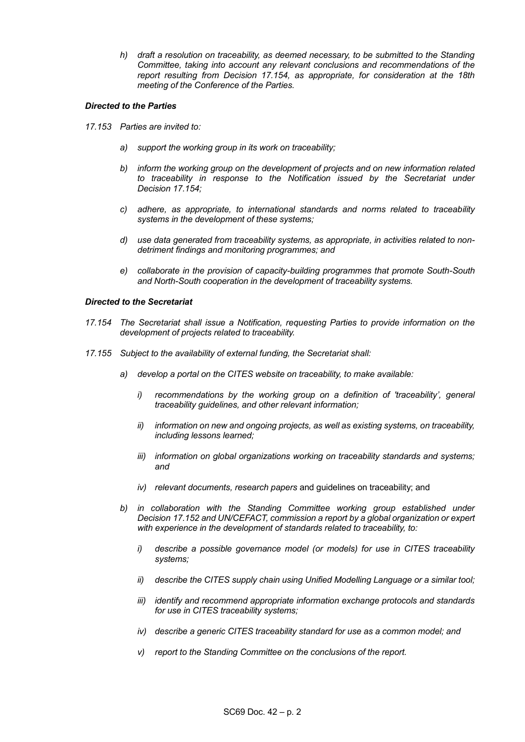*h) draft a resolution on traceability, as deemed necessary, to be submitted to the Standing Committee, taking into account any relevant conclusions and recommendations of the report resulting from Decision 17.154, as appropriate, for consideration at the 18th meeting of the Conference of the Parties.*

### *Directed to the Parties*

- *17.153 Parties are invited to:*
	- *a) support the working group in its work on traceability;*
	- *b) inform the working group on the development of projects and on new information related*  to traceability in response to the Notification issued by the Secretariat under *Decision 17.154;*
	- *c) adhere, as appropriate, to international standards and norms related to traceability systems in the development of these systems;*
	- *d) use data generated from traceability systems, as appropriate, in activities related to nondetriment findings and monitoring programmes; and*
	- *e) collaborate in the provision of capacity-building programmes that promote South-South and North-South cooperation in the development of traceability systems.*

## *Directed to the Secretariat*

- *17.154 The Secretariat shall issue a Notification, requesting Parties to provide information on the development of projects related to traceability.*
- *17.155 Subject to the availability of external funding, the Secretariat shall:*
	- *a) develop a portal on the CITES website on traceability, to make available:*
		- *i) recommendations by the working group on a definition of 'traceability', general traceability guidelines, and other relevant information;*
		- *ii) information on new and ongoing projects, as well as existing systems, on traceability, including lessons learned;*
		- *iii) information on global organizations working on traceability standards and systems; and*
		- *iv) relevant documents, research papers* and guidelines on traceability; and
	- *b) in collaboration with the Standing Committee working group established under Decision 17.152 and UN/CEFACT, commission a report by a global organization or expert with experience in the development of standards related to traceability, to:*
		- *i) describe a possible governance model (or models) for use in CITES traceability systems;*
		- *ii) describe the CITES supply chain using Unified Modelling Language or a similar tool;*
		- *iii) identify and recommend appropriate information exchange protocols and standards for use in CITES traceability systems;*
		- *iv) describe a generic CITES traceability standard for use as a common model; and*
		- *v) report to the Standing Committee on the conclusions of the report.*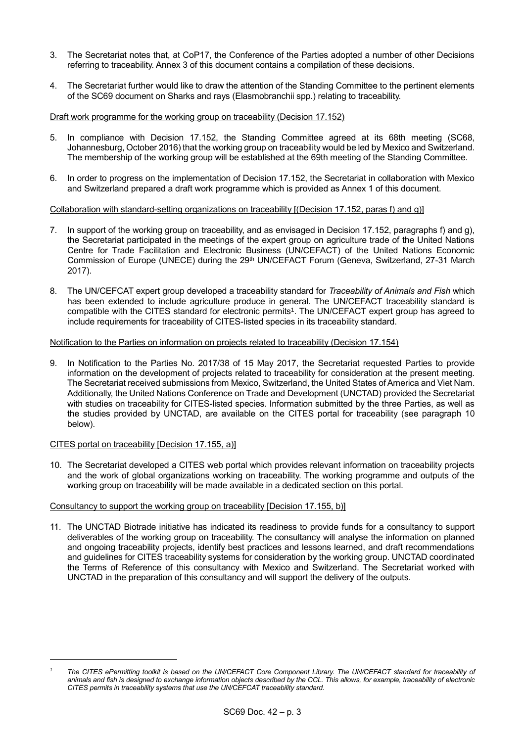- 3. The Secretariat notes that, at CoP17, the Conference of the Parties adopted a number of other Decisions referring to traceability. Annex 3 of this document contains a compilation of these decisions.
- 4. The Secretariat further would like to draw the attention of the Standing Committee to the pertinent elements of the SC69 document on Sharks and rays (Elasmobranchii spp.) relating to traceability.

## Draft work programme for the working group on traceability (Decision 17.152)

- 5. In compliance with Decision 17.152, the Standing Committee agreed at its 68th meeting (SC68, Johannesburg, October 2016) that the working group on traceability would be led by Mexico and Switzerland. The membership of the working group will be established at the 69th meeting of the Standing Committee.
- 6. In order to progress on the implementation of Decision 17.152, the Secretariat in collaboration with Mexico and Switzerland prepared a draft work programme which is provided as Annex 1 of this document.

## Collaboration with standard-setting organizations on traceability [(Decision 17.152, paras f) and g)]

- 7. In support of the working group on traceability, and as envisaged in Decision 17.152, paragraphs f) and g), the Secretariat participated in the meetings of the expert group on agriculture trade of the United Nations Centre for Trade Facilitation and Electronic Business (UN/CEFACT) of the United Nations Economic Commission of Europe (UNECE) during the 29<sup>th</sup> UN/CEFACT Forum (Geneva, Switzerland, 27-31 March 2017).
- 8. The UN/CEFCAT expert group developed a traceability standard for *Traceability of Animals and Fish* which has been extended to include agriculture produce in general. The UN/CEFACT traceability standard is compatible with the CITES standard for electronic permits<sup>1</sup> . The UN/CEFACT expert group has agreed to include requirements for traceability of CITES-listed species in its traceability standard.

### Notification to the Parties on information on projects related to traceability (Decision 17.154)

9. In Notification to the Parties No. 2017/38 of 15 May 2017, the Secretariat requested Parties to provide information on the development of projects related to traceability for consideration at the present meeting. The Secretariat received submissions from Mexico, Switzerland, the United States of America and Viet Nam. Additionally, the United Nations Conference on Trade and Development (UNCTAD) provided the Secretariat with studies on traceability for CITES-listed species. Information submitted by the three Parties, as well as the studies provided by UNCTAD, are available on the CITES portal for traceability (see paragraph 10 below).

### CITES portal on traceability [Decision 17.155, a)]

1

10. The Secretariat developed a CITES web portal which provides relevant information on traceability projects and the work of global organizations working on traceability. The working programme and outputs of the working group on traceability will be made available in a dedicated section on this portal.

### Consultancy to support the working group on traceability [Decision 17.155, b)]

11. The UNCTAD Biotrade initiative has indicated its readiness to provide funds for a consultancy to support deliverables of the working group on traceability. The consultancy will analyse the information on planned and ongoing traceability projects, identify best practices and lessons learned, and draft recommendations and guidelines for CITES traceability systems for consideration by the working group. UNCTAD coordinated the Terms of Reference of this consultancy with Mexico and Switzerland. The Secretariat worked with UNCTAD in the preparation of this consultancy and will support the delivery of the outputs.

*<sup>1</sup> The CITES ePermitting toolkit is based on the UN/CEFACT Core Component Library. The UN/CEFACT standard for traceability of animals and fish is designed to exchange information objects described by the CCL. This allows, for example, traceability of electronic CITES permits in traceability systems that use the UN/CEFCAT traceability standard.*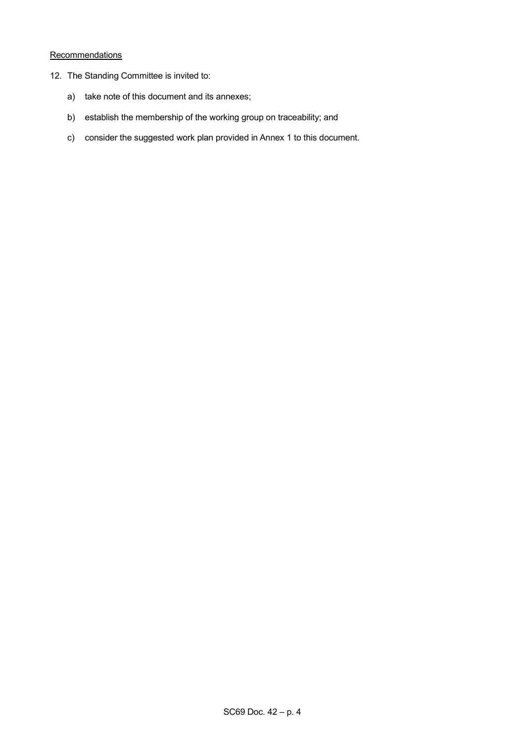# **Recommendations**

- 12. The Standing Committee is invited to:
	- a) take note of this document and its annexes;
	- b) establish the membership of the working group on traceability; and
	- c) consider the suggested work plan provided in Annex 1 to this document.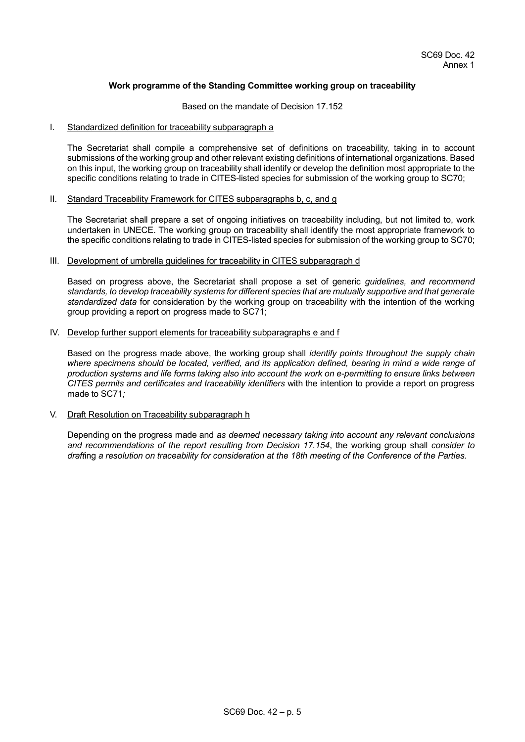## **Work programme of the Standing Committee working group on traceability**

#### Based on the mandate of Decision 17.152

#### I. Standardized definition for traceability subparagraph a

The Secretariat shall compile a comprehensive set of definitions on traceability, taking in to account submissions of the working group and other relevant existing definitions of international organizations. Based on this input, the working group on traceability shall identify or develop the definition most appropriate to the specific conditions relating to trade in CITES-listed species for submission of the working group to SC70;

#### II. Standard Traceability Framework for CITES subparagraphs b, c, and g

The Secretariat shall prepare a set of ongoing initiatives on traceability including, but not limited to, work undertaken in UNECE. The working group on traceability shall identify the most appropriate framework to the specific conditions relating to trade in CITES-listed species for submission of the working group to SC70;

#### III. Development of umbrella guidelines for traceability in CITES subparagraph d

Based on progress above, the Secretariat shall propose a set of generic *guidelines, and recommend standards, to develop traceability systems for different species that are mutually supportive and that generate standardized data* for consideration by the working group on traceability with the intention of the working group providing a report on progress made to SC71;

### IV. Develop further support elements for traceability subparagraphs e and f

Based on the progress made above, the working group shall *identify points throughout the supply chain where specimens should be located, verified, and its application defined, bearing in mind a wide range of production systems and life forms taking also into account the work on e-permitting to ensure links between CITES permits and certificates and traceability identifiers* with the intention to provide a report on progress made to SC71*;*

### V. Draft Resolution on Traceability subparagraph h

Depending on the progress made and *as deemed necessary taking into account any relevant conclusions and recommendations of the report resulting from Decision 17.154*, the working group shall *consider to draft*ing *a resolution on traceability for consideration at the 18th meeting of the Conference of the Parties.*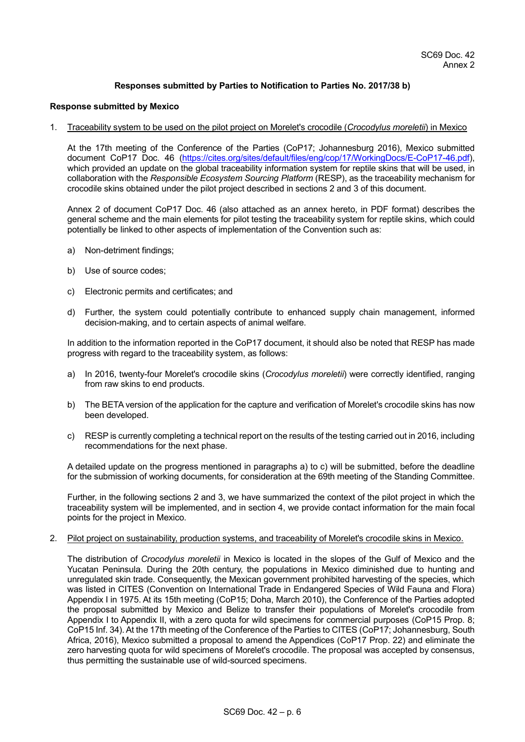## **Responses submitted by Parties to Notification to Parties No. 2017/38 b)**

#### **Response submitted by Mexico**

1. Traceability system to be used on the pilot project on Morelet's crocodile (*Crocodylus moreletii*) in Mexico

At the 17th meeting of the Conference of the Parties (CoP17; Johannesburg 2016), Mexico submitted document CoP17 Doc. 46 [\(https://cites.org/sites/default/files/eng/cop/17/WorkingDocs/E-CoP17-46.pdf\)](https://cites.org/sites/default/files/eng/cop/17/WorkingDocs/E-CoP17-46.pdf), which provided an update on the global traceability information system for reptile skins that will be used, in collaboration with the *Responsible Ecosystem Sourcing Platform* (RESP), as the traceability mechanism for crocodile skins obtained under the pilot project described in sections 2 and 3 of this document.

Annex 2 of document CoP17 Doc. 46 (also attached as an annex hereto, in PDF format) describes the general scheme and the main elements for pilot testing the traceability system for reptile skins, which could potentially be linked to other aspects of implementation of the Convention such as:

- a) Non-detriment findings;
- b) Use of source codes;
- c) Electronic permits and certificates; and
- d) Further, the system could potentially contribute to enhanced supply chain management, informed decision-making, and to certain aspects of animal welfare.

In addition to the information reported in the CoP17 document, it should also be noted that RESP has made progress with regard to the traceability system, as follows:

- a) In 2016, twenty-four Morelet's crocodile skins (*Crocodylus moreletii*) were correctly identified, ranging from raw skins to end products.
- b) The BETA version of the application for the capture and verification of Morelet's crocodile skins has now been developed.
- c) RESP is currently completing a technical report on the results of the testing carried out in 2016, including recommendations for the next phase.

A detailed update on the progress mentioned in paragraphs a) to c) will be submitted, before the deadline for the submission of working documents, for consideration at the 69th meeting of the Standing Committee.

Further, in the following sections 2 and 3, we have summarized the context of the pilot project in which the traceability system will be implemented, and in section 4, we provide contact information for the main focal points for the project in Mexico.

2. Pilot project on sustainability, production systems, and traceability of Morelet's crocodile skins in Mexico.

The distribution of *Crocodylus moreletii* in Mexico is located in the slopes of the Gulf of Mexico and the Yucatan Peninsula. During the 20th century, the populations in Mexico diminished due to hunting and unregulated skin trade. Consequently, the Mexican government prohibited harvesting of the species, which was listed in CITES (Convention on International Trade in Endangered Species of Wild Fauna and Flora) Appendix I in 1975. At its 15th meeting (CoP15; Doha, March 2010), the Conference of the Parties adopted the proposal submitted by Mexico and Belize to transfer their populations of Morelet's crocodile from Appendix I to Appendix II, with a zero quota for wild specimens for commercial purposes (CoP15 Prop. 8; CoP15 Inf. 34). At the 17th meeting of the Conference of the Parties to CITES (CoP17; Johannesburg, South Africa, 2016), Mexico submitted a proposal to amend the Appendices (CoP17 Prop. 22) and eliminate the zero harvesting quota for wild specimens of Morelet's crocodile. The proposal was accepted by consensus, thus permitting the sustainable use of wild-sourced specimens.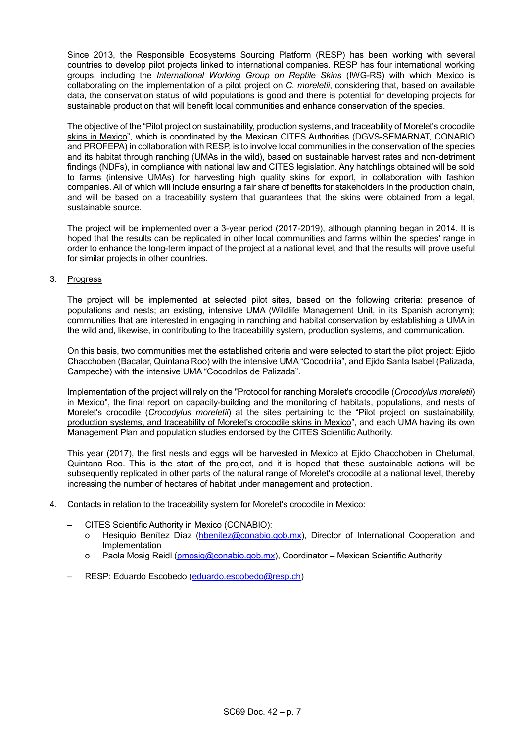Since 2013, the Responsible Ecosystems Sourcing Platform (RESP) has been working with several countries to develop pilot projects linked to international companies. RESP has four international working groups, including the *International Working Group on Reptile Skins* (IWG-RS) with which Mexico is collaborating on the implementation of a pilot project on *C. moreletii*, considering that, based on available data, the conservation status of wild populations is good and there is potential for developing projects for sustainable production that will benefit local communities and enhance conservation of the species.

The objective of the "Pilot project on sustainability, production systems, and traceability of Morelet's crocodile skins in Mexico", which is coordinated by the Mexican CITES Authorities (DGVS-SEMARNAT, CONABIO and PROFEPA) in collaboration with RESP, is to involve local communities in the conservation of the species and its habitat through ranching (UMAs in the wild), based on sustainable harvest rates and non-detriment findings (NDFs), in compliance with national law and CITES legislation. Any hatchlings obtained will be sold to farms (intensive UMAs) for harvesting high quality skins for export, in collaboration with fashion companies. All of which will include ensuring a fair share of benefits for stakeholders in the production chain, and will be based on a traceability system that guarantees that the skins were obtained from a legal, sustainable source.

The project will be implemented over a 3-year period (2017-2019), although planning began in 2014. It is hoped that the results can be replicated in other local communities and farms within the species' range in order to enhance the long-term impact of the project at a national level, and that the results will prove useful for similar projects in other countries.

## 3. Progress

The project will be implemented at selected pilot sites, based on the following criteria: presence of populations and nests; an existing, intensive UMA (Wildlife Management Unit, in its Spanish acronym); communities that are interested in engaging in ranching and habitat conservation by establishing a UMA in the wild and, likewise, in contributing to the traceability system, production systems, and communication.

On this basis, two communities met the established criteria and were selected to start the pilot project: Ejido Chacchoben (Bacalar, Quintana Roo) with the intensive UMA "Cocodrilia", and Ejido Santa Isabel (Palizada, Campeche) with the intensive UMA "Cocodrilos de Palizada".

Implementation of the project will rely on the "Protocol for ranching Morelet's crocodile (*Crocodylus moreletii*) in Mexico", the final report on capacity-building and the monitoring of habitats, populations, and nests of Morelet's crocodile (*Crocodylus moreletii*) at the sites pertaining to the "Pilot project on sustainability, production systems, and traceability of Morelet's crocodile skins in Mexico", and each UMA having its own Management Plan and population studies endorsed by the CITES Scientific Authority.

This year (2017), the first nests and eggs will be harvested in Mexico at Ejido Chacchoben in Chetumal, Quintana Roo. This is the start of the project, and it is hoped that these sustainable actions will be subsequently replicated in other parts of the natural range of Morelet's crocodile at a national level, thereby increasing the number of hectares of habitat under management and protection.

- 4. Contacts in relation to the traceability system for Morelet's crocodile in Mexico:
	- CITES Scientific Authority in Mexico (CONABIO):
		- o Hesiquio Benítez Díaz [\(hbenitez@conabio.gob.mx\)](mailto:hbenitez@conabio.gob.mx), Director of International Cooperation and Implementation
		- o Paola Mosig Reidl [\(pmosig@conabio.gob.mx\)](mailto:pmosig@conabio.gob.mx), Coordinator Mexican Scientific Authority
	- RESP: Eduardo Escobedo [\(eduardo.escobedo@resp.ch\)](mailto:eduardo.escobedo@resp.ch)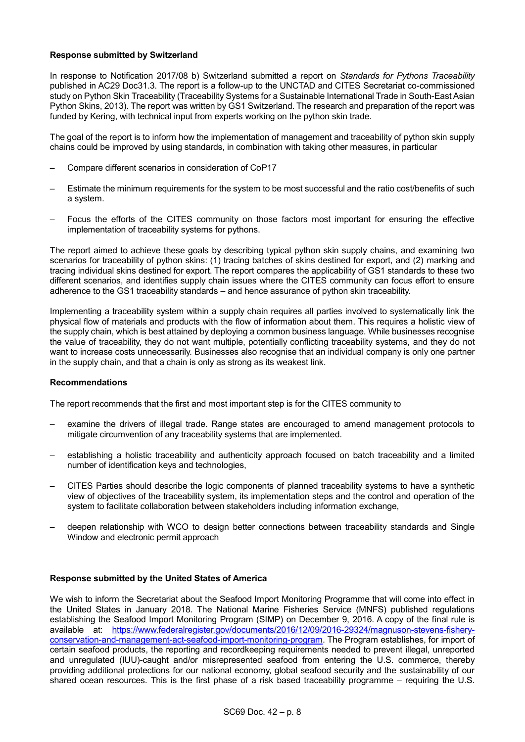## **Response submitted by Switzerland**

In response to Notification 2017/08 b) Switzerland submitted a report on *Standards for Pythons Traceability* published in AC29 Doc31.3. The report is a follow-up to the UNCTAD and CITES Secretariat co-commissioned study on Python Skin Traceability (Traceability Systems for a Sustainable International Trade in South-East Asian Python Skins, 2013). The report was written by GS1 Switzerland. The research and preparation of the report was funded by Kering, with technical input from experts working on the python skin trade.

The goal of the report is to inform how the implementation of management and traceability of python skin supply chains could be improved by using standards, in combination with taking other measures, in particular

- Compare different scenarios in consideration of CoP17
- Estimate the minimum requirements for the system to be most successful and the ratio cost/benefits of such a system.
- Focus the efforts of the CITES community on those factors most important for ensuring the effective implementation of traceability systems for pythons.

The report aimed to achieve these goals by describing typical python skin supply chains, and examining two scenarios for traceability of python skins: (1) tracing batches of skins destined for export, and (2) marking and tracing individual skins destined for export. The report compares the applicability of GS1 standards to these two different scenarios, and identifies supply chain issues where the CITES community can focus effort to ensure adherence to the GS1 traceability standards – and hence assurance of python skin traceability.

Implementing a traceability system within a supply chain requires all parties involved to systematically link the physical flow of materials and products with the flow of information about them. This requires a holistic view of the supply chain, which is best attained by deploying a common business language. While businesses recognise the value of traceability, they do not want multiple, potentially conflicting traceability systems, and they do not want to increase costs unnecessarily. Businesses also recognise that an individual company is only one partner in the supply chain, and that a chain is only as strong as its weakest link.

### **Recommendations**

The report recommends that the first and most important step is for the CITES community to

- examine the drivers of illegal trade. Range states are encouraged to amend management protocols to mitigate circumvention of any traceability systems that are implemented.
- establishing a holistic traceability and authenticity approach focused on batch traceability and a limited number of identification keys and technologies,
- CITES Parties should describe the logic components of planned traceability systems to have a synthetic view of objectives of the traceability system, its implementation steps and the control and operation of the system to facilitate collaboration between stakeholders including information exchange,
- deepen relationship with WCO to design better connections between traceability standards and Single Window and electronic permit approach

# **Response submitted by the United States of America**

We wish to inform the Secretariat about the Seafood Import Monitoring Programme that will come into effect in the United States in January 2018. The National Marine Fisheries Service (MNFS) published regulations establishing the Seafood Import Monitoring Program (SIMP) on December 9, 2016. A copy of the final rule is available at: [https://www.federalregister.gov/documents/2016/12/09/2016-29324/magnuson-stevens-fishery](https://www.federalregister.gov/documents/2016/12/09/2016-29324/magnuson-stevens-fishery-conservation-and-management-act-seafood-import-monitoring-program)[conservation-and-management-act-seafood-import-monitoring-program.](https://www.federalregister.gov/documents/2016/12/09/2016-29324/magnuson-stevens-fishery-conservation-and-management-act-seafood-import-monitoring-program) The Program establishes, for import of certain seafood products, the reporting and recordkeeping requirements needed to prevent illegal, unreported and unregulated (IUU)-caught and/or misrepresented seafood from entering the U.S. commerce, thereby providing additional protections for our national economy, global seafood security and the sustainability of our shared ocean resources. This is the first phase of a risk based traceability programme – requiring the U.S.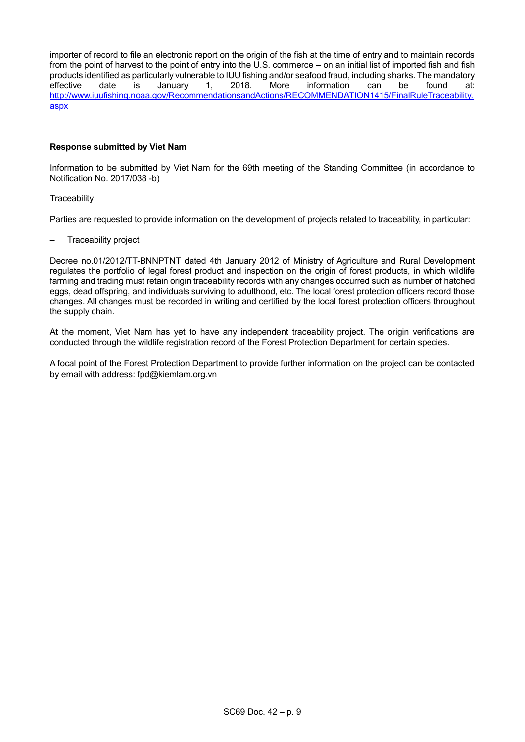importer of record to file an electronic report on the origin of the fish at the time of entry and to maintain records from the point of harvest to the point of entry into the U.S. commerce – on an initial list of imported fish and fish products identified as particularly vulnerable to IUU fishing and/or seafood fraud, including sharks. The mandatory<br>effective date is January 1, 2018. More information can be found at: effective date is January 1, 2018. More information can be found at: [http://www.iuufishing.noaa.gov/RecommendationsandActions/RECOMMENDATION1415/FinalRuleTraceability.](http://www.iuufishing.noaa.gov/RecommendationsandActions/RECOMMENDATION1415/FinalRuleTraceability.aspx) [aspx](http://www.iuufishing.noaa.gov/RecommendationsandActions/RECOMMENDATION1415/FinalRuleTraceability.aspx)

## **Response submitted by Viet Nam**

Information to be submitted by Viet Nam for the 69th meeting of the Standing Committee (in accordance to Notification No. 2017/038 -b)

### **Traceability**

Parties are requested to provide information on the development of projects related to traceability, in particular:

– Traceability project

Decree no.01/2012/TT-BNNPTNT dated 4th January 2012 of Ministry of Agriculture and Rural Development regulates the portfolio of legal forest product and inspection on the origin of forest products, in which wildlife farming and trading must retain origin traceability records with any changes occurred such as number of hatched eggs, dead offspring, and individuals surviving to adulthood, etc. The local forest protection officers record those changes. All changes must be recorded in writing and certified by the local forest protection officers throughout the supply chain.

At the moment, Viet Nam has yet to have any independent traceability project. The origin verifications are conducted through the wildlife registration record of the Forest Protection Department for certain species.

A focal point of the Forest Protection Department to provide further information on the project can be contacted by email with address: [fpd@kiemlam.org.vn](mailto:fpd@kiemlam.org.vn)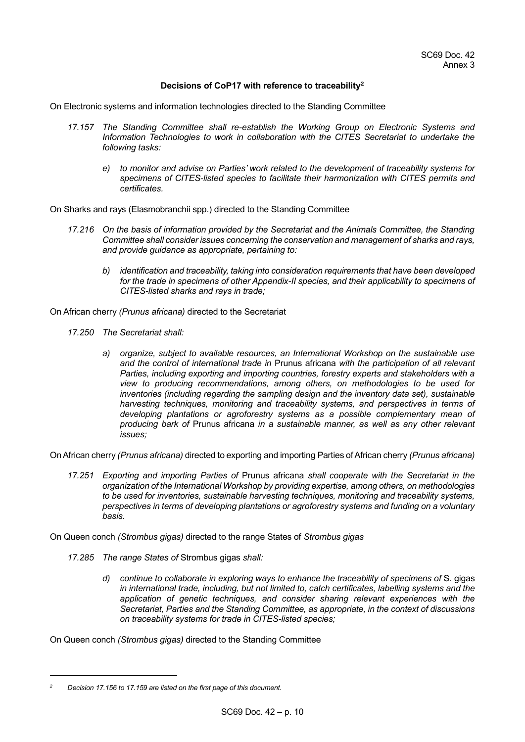## **Decisions of CoP17 with reference to traceability<sup>2</sup>**

On Electronic systems and information technologies directed to the Standing Committee

- *17.157 The Standing Committee shall re-establish the Working Group on Electronic Systems and Information Technologies to work in collaboration with the CITES Secretariat to undertake the following tasks:*
	- *e) to monitor and advise on Parties' work related to the development of traceability systems for specimens of CITES-listed species to facilitate their harmonization with CITES permits and certificates.*

On Sharks and rays (Elasmobranchii spp.) directed to the Standing Committee

- *17.216 On the basis of information provided by the Secretariat and the Animals Committee, the Standing Committee shall consider issues concerning the conservation and management of sharks and rays, and provide guidance as appropriate, pertaining to:*
	- *b) identification and traceability, taking into consideration requirements that have been developed*  for the trade in specimens of other Appendix-II species, and their applicability to specimens of *CITES-listed sharks and rays in trade;*

On African cherry *(Prunus africana)* directed to the Secretariat

- *17.250 The Secretariat shall:*
	- *a) organize, subject to available resources, an International Workshop on the sustainable use and the control of international trade in* Prunus africana *with the participation of all relevant Parties, including exporting and importing countries, forestry experts and stakeholders with a view to producing recommendations, among others, on methodologies to be used for inventories (including regarding the sampling design and the inventory data set), sustainable harvesting techniques, monitoring and traceability systems, and perspectives in terms of developing plantations or agroforestry systems as a possible complementary mean of producing bark of* Prunus africana *in a sustainable manner, as well as any other relevant issues;*

On African cherry *(Prunus africana)* directed to exporting and importing Parties of African cherry *(Prunus africana)*

*17.251 Exporting and importing Parties of* Prunus africana *shall cooperate with the Secretariat in the organization of the International Workshop by providing expertise, among others, on methodologies to be used for inventories, sustainable harvesting techniques, monitoring and traceability systems, perspectives in terms of developing plantations or agroforestry systems and funding on a voluntary basis.*

On Queen conch *(Strombus gigas)* directed to the range States of *Strombus gigas*

- *17.285 The range States of* Strombus gigas *shall:*
	- *d) continue to collaborate in exploring ways to enhance the traceability of specimens of* S. gigas *in international trade, including, but not limited to, catch certificates, labelling systems and the application of genetic techniques, and consider sharing relevant experiences with the Secretariat, Parties and the Standing Committee, as appropriate, in the context of discussions on traceability systems for trade in CITES-listed species;*

On Queen conch *(Strombus gigas)* directed to the Standing Committee

1

*<sup>2</sup> Decision 17.156 to 17.159 are listed on the first page of this document.*